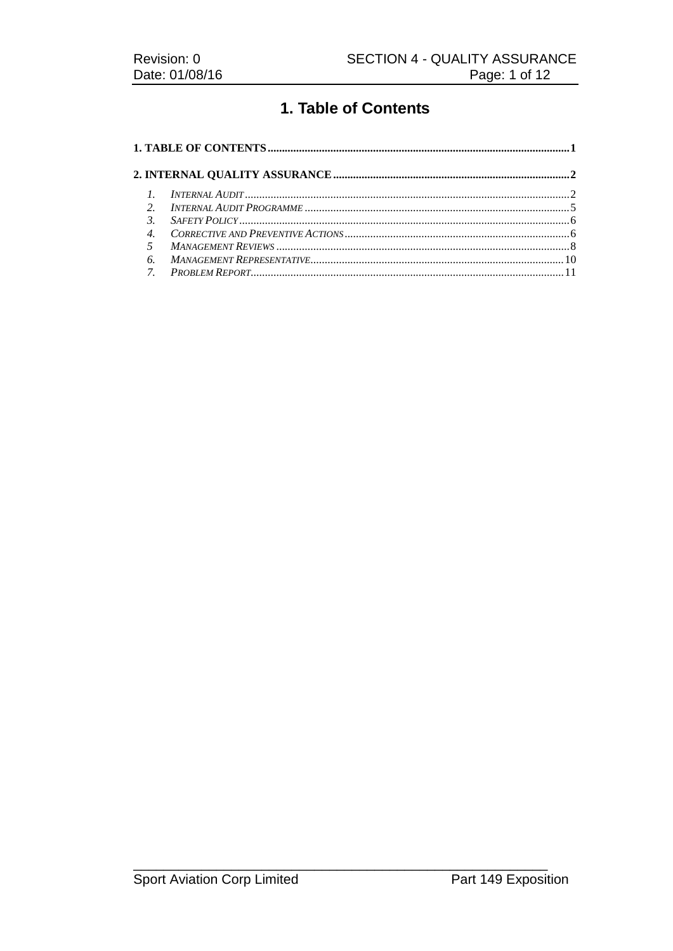# 1. Table of Contents

|                | $I$ NTERNAL AUDIT |  |  |  |
|----------------|-------------------|--|--|--|
|                |                   |  |  |  |
| $\mathcal{R}$  | $S$ AFETY POLICY  |  |  |  |
|                |                   |  |  |  |
| $\overline{5}$ |                   |  |  |  |
| 6.             |                   |  |  |  |
|                |                   |  |  |  |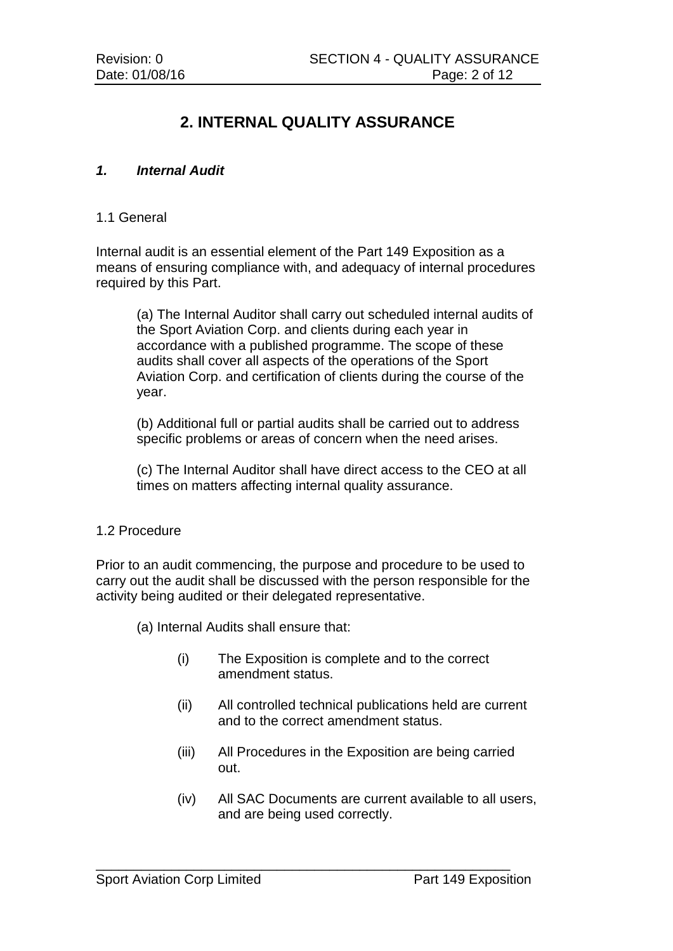# **2. INTERNAL QUALITY ASSURANCE**

## *1. Internal Audit*

#### 1.1 General

Internal audit is an essential element of the Part 149 Exposition as a means of ensuring compliance with, and adequacy of internal procedures required by this Part.

(a) The Internal Auditor shall carry out scheduled internal audits of the Sport Aviation Corp. and clients during each year in accordance with a published programme. The scope of these audits shall cover all aspects of the operations of the Sport Aviation Corp. and certification of clients during the course of the year.

(b) Additional full or partial audits shall be carried out to address specific problems or areas of concern when the need arises.

(c) The Internal Auditor shall have direct access to the CEO at all times on matters affecting internal quality assurance.

#### 1.2 Procedure

Prior to an audit commencing, the purpose and procedure to be used to carry out the audit shall be discussed with the person responsible for the activity being audited or their delegated representative.

(a) Internal Audits shall ensure that:

- (i) The Exposition is complete and to the correct amendment status.
- (ii) All controlled technical publications held are current and to the correct amendment status.
- (iii) All Procedures in the Exposition are being carried out.

\_\_\_\_\_\_\_\_\_\_\_\_\_\_\_\_\_\_\_\_\_\_\_\_\_\_\_\_\_\_\_\_\_\_\_\_\_\_\_\_\_\_\_\_\_\_\_\_\_\_\_\_\_\_\_

(iv) All SAC Documents are current available to all users, and are being used correctly.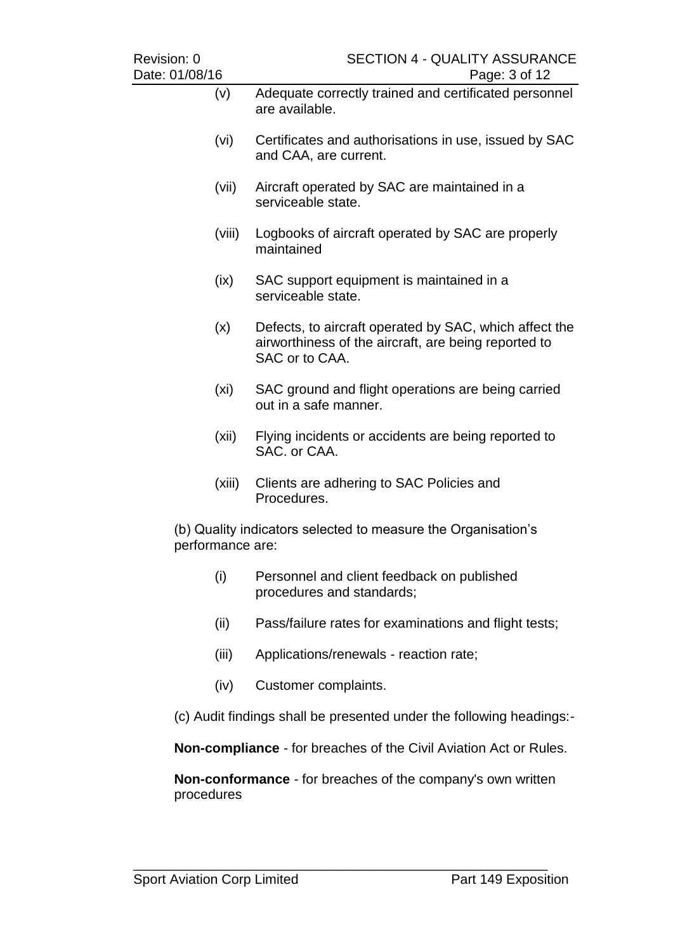| Revision: 0<br>Date: 01/08/16                                                     |        | <b>SECTION 4 - QUALITY ASSURANCE</b><br>Page: 3 of 12                                                                            |  |  |
|-----------------------------------------------------------------------------------|--------|----------------------------------------------------------------------------------------------------------------------------------|--|--|
|                                                                                   | (v)    | Adequate correctly trained and certificated personnel<br>are available.                                                          |  |  |
|                                                                                   | (vi)   | Certificates and authorisations in use, issued by SAC<br>and CAA, are current.                                                   |  |  |
|                                                                                   | (vii)  | Aircraft operated by SAC are maintained in a<br>serviceable state.                                                               |  |  |
|                                                                                   | (viii) | Logbooks of aircraft operated by SAC are properly<br>maintained                                                                  |  |  |
|                                                                                   | (ix)   | SAC support equipment is maintained in a<br>serviceable state.                                                                   |  |  |
|                                                                                   | (x)    | Defects, to aircraft operated by SAC, which affect the<br>airworthiness of the aircraft, are being reported to<br>SAC or to CAA. |  |  |
|                                                                                   | (xi)   | SAC ground and flight operations are being carried<br>out in a safe manner.                                                      |  |  |
|                                                                                   | (xii)  | Flying incidents or accidents are being reported to<br>SAC. or CAA.                                                              |  |  |
|                                                                                   | (xiii) | Clients are adhering to SAC Policies and<br>Procedures.                                                                          |  |  |
| (b) Quality indicators selected to measure the Organisation's<br>performance are: |        |                                                                                                                                  |  |  |
|                                                                                   | (i)    | Personnel and client feedback on published<br>procedures and standards;                                                          |  |  |
|                                                                                   | (ii)   | Pass/failure rates for examinations and flight tests;                                                                            |  |  |
|                                                                                   | (iii)  | Applications/renewals - reaction rate;                                                                                           |  |  |
|                                                                                   | (iv)   | Customer complaints.                                                                                                             |  |  |

(c) Audit findings shall be presented under the following headings:-

**Non-compliance** - for breaches of the Civil Aviation Act or Rules.

**Non-conformance** - for breaches of the company's own written procedures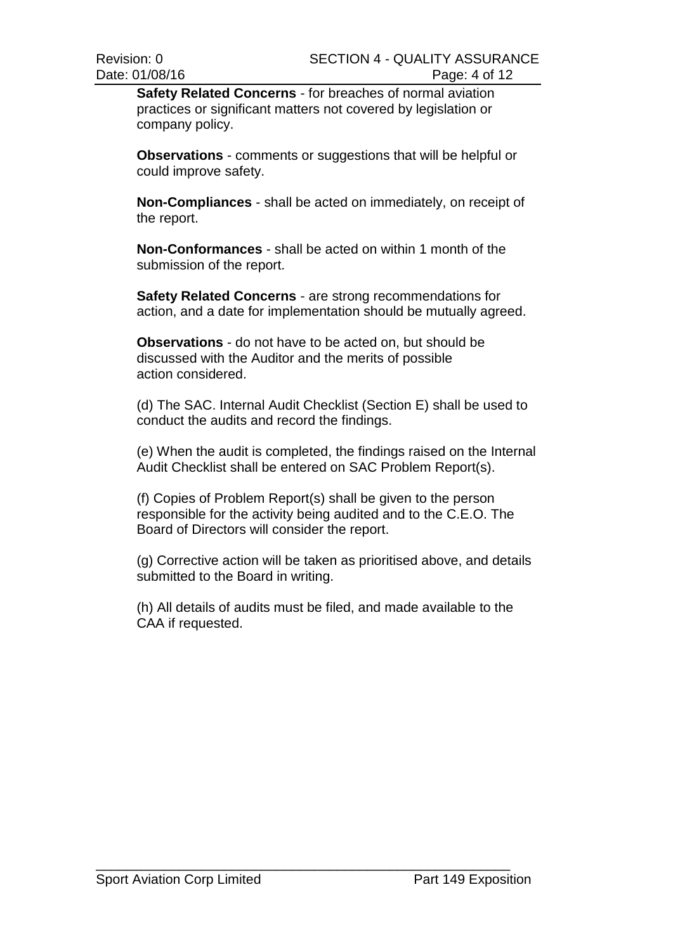**Safety Related Concerns** - for breaches of normal aviation practices or significant matters not covered by legislation or company policy.

**Observations** - comments or suggestions that will be helpful or could improve safety.

**Non-Compliances** - shall be acted on immediately, on receipt of the report.

**Non-Conformances** - shall be acted on within 1 month of the submission of the report.

**Safety Related Concerns** - are strong recommendations for action, and a date for implementation should be mutually agreed.

**Observations** - do not have to be acted on, but should be discussed with the Auditor and the merits of possible action considered.

(d) The SAC. Internal Audit Checklist (Section E) shall be used to conduct the audits and record the findings.

(e) When the audit is completed, the findings raised on the Internal Audit Checklist shall be entered on SAC Problem Report(s).

(f) Copies of Problem Report(s) shall be given to the person responsible for the activity being audited and to the C.E.O. The Board of Directors will consider the report.

(g) Corrective action will be taken as prioritised above, and details submitted to the Board in writing.

(h) All details of audits must be filed, and made available to the CAA if requested.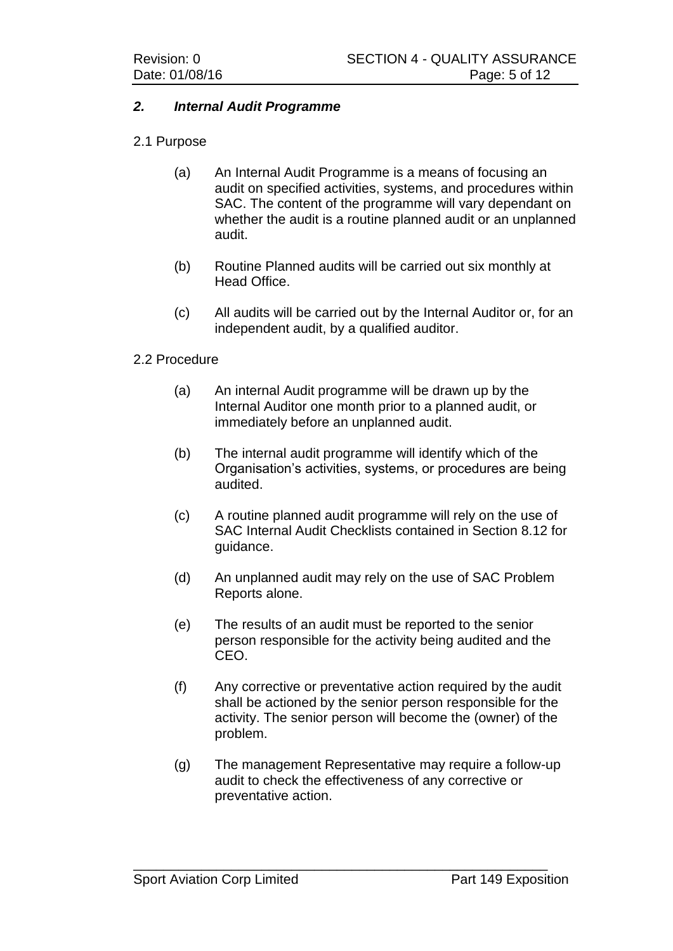### *2. Internal Audit Programme*

### 2.1 Purpose

- (a) An Internal Audit Programme is a means of focusing an audit on specified activities, systems, and procedures within SAC. The content of the programme will vary dependant on whether the audit is a routine planned audit or an unplanned audit.
- (b) Routine Planned audits will be carried out six monthly at Head Office.
- (c) All audits will be carried out by the Internal Auditor or, for an independent audit, by a qualified auditor.

#### 2.2 Procedure

- (a) An internal Audit programme will be drawn up by the Internal Auditor one month prior to a planned audit, or immediately before an unplanned audit.
- (b) The internal audit programme will identify which of the Organisation's activities, systems, or procedures are being audited.
- (c) A routine planned audit programme will rely on the use of SAC Internal Audit Checklists contained in Section 8.12 for guidance.
- (d) An unplanned audit may rely on the use of SAC Problem Reports alone.
- (e) The results of an audit must be reported to the senior person responsible for the activity being audited and the CEO.
- (f) Any corrective or preventative action required by the audit shall be actioned by the senior person responsible for the activity. The senior person will become the (owner) of the problem.
- (g) The management Representative may require a follow-up audit to check the effectiveness of any corrective or preventative action.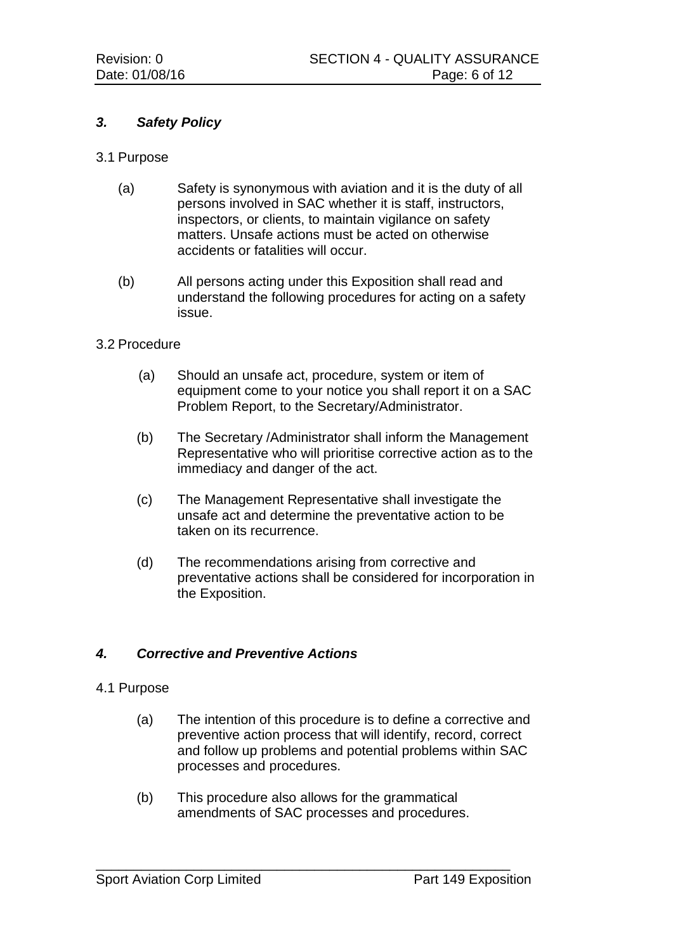# *3. Safety Policy*

- 3.1 Purpose
	- (a) Safety is synonymous with aviation and it is the duty of all persons involved in SAC whether it is staff, instructors, inspectors, or clients, to maintain vigilance on safety matters. Unsafe actions must be acted on otherwise accidents or fatalities will occur.
	- (b) All persons acting under this Exposition shall read and understand the following procedures for acting on a safety issue.

#### 3.2 Procedure

- (a) Should an unsafe act, procedure, system or item of equipment come to your notice you shall report it on a SAC Problem Report, to the Secretary/Administrator.
- (b) The Secretary /Administrator shall inform the Management Representative who will prioritise corrective action as to the immediacy and danger of the act.
- (c) The Management Representative shall investigate the unsafe act and determine the preventative action to be taken on its recurrence.
- (d) The recommendations arising from corrective and preventative actions shall be considered for incorporation in the Exposition.

#### *4. Corrective and Preventive Actions*

#### 4.1 Purpose

- (a) The intention of this procedure is to define a corrective and preventive action process that will identify, record, correct and follow up problems and potential problems within SAC processes and procedures.
- (b) This procedure also allows for the grammatical amendments of SAC processes and procedures.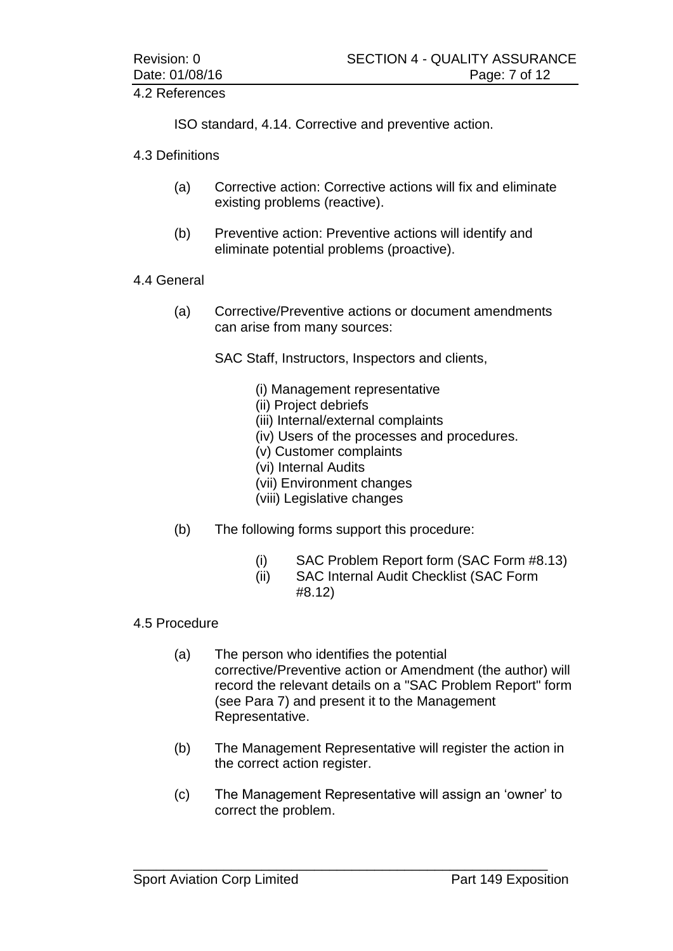## 4.2 References

ISO standard, 4.14. Corrective and preventive action.

4.3 Definitions

- (a) Corrective action: Corrective actions will fix and eliminate existing problems (reactive).
- (b) Preventive action: Preventive actions will identify and eliminate potential problems (proactive).

## 4.4 General

(a) Corrective/Preventive actions or document amendments can arise from many sources:

SAC Staff, Instructors, Inspectors and clients,

- (i) Management representative
- (ii) Project debriefs
- (iii) Internal/external complaints
- (iv) Users of the processes and procedures.
- (v) Customer complaints
- (vi) Internal Audits
- (vii) Environment changes
- (viii) Legislative changes
- (b) The following forms support this procedure:
	- (i) SAC Problem Report form (SAC Form #8.13)
	- (ii) SAC Internal Audit Checklist (SAC Form #8.12)

# 4.5 Procedure

- (a) The person who identifies the potential corrective/Preventive action or Amendment (the author) will record the relevant details on a "SAC Problem Report" form (see Para 7) and present it to the Management Representative.
- (b) The Management Representative will register the action in the correct action register.
- (c) The Management Representative will assign an 'owner' to correct the problem.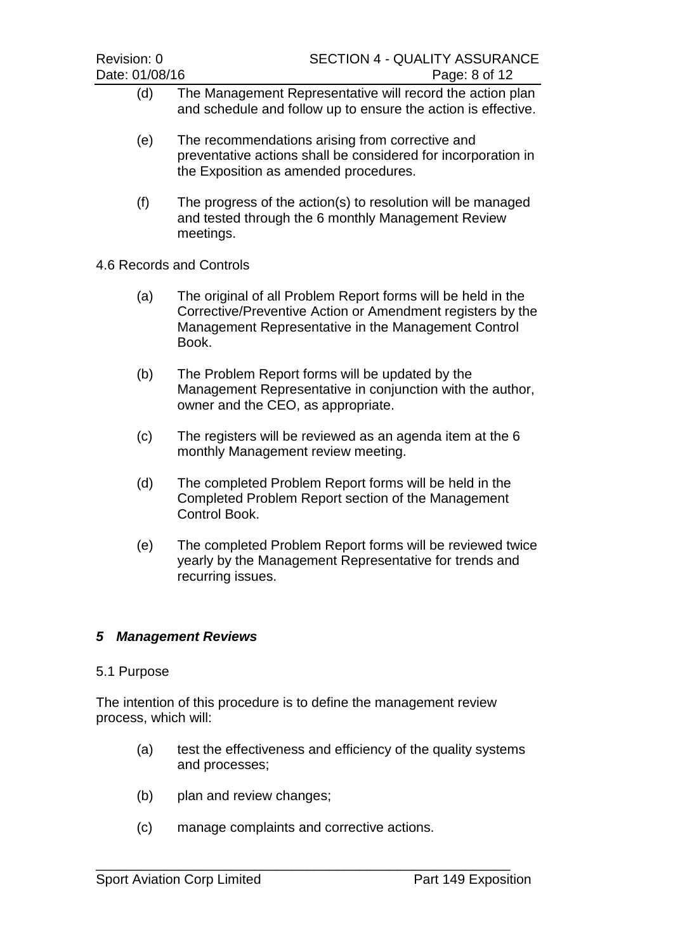| Revision: 0<br>Date: 01/08/16                                                              | <b>SECTION 4 - QUALITY ASSURANCE</b><br>Page: 8 of 12                                                                                                                                      |  |  |  |  |  |
|--------------------------------------------------------------------------------------------|--------------------------------------------------------------------------------------------------------------------------------------------------------------------------------------------|--|--|--|--|--|
| (d)                                                                                        | The Management Representative will record the action plan<br>and schedule and follow up to ensure the action is effective.                                                                 |  |  |  |  |  |
| (e)                                                                                        | The recommendations arising from corrective and<br>preventative actions shall be considered for incorporation in<br>the Exposition as amended procedures.                                  |  |  |  |  |  |
| (f)                                                                                        | The progress of the action(s) to resolution will be managed<br>and tested through the 6 monthly Management Review<br>meetings.                                                             |  |  |  |  |  |
| 4.6 Records and Controls                                                                   |                                                                                                                                                                                            |  |  |  |  |  |
| (a)                                                                                        | The original of all Problem Report forms will be held in the<br>Corrective/Preventive Action or Amendment registers by the<br>Management Representative in the Management Control<br>Book. |  |  |  |  |  |
| (b)                                                                                        | The Problem Report forms will be updated by the<br>Management Representative in conjunction with the author,<br>owner and the CEO, as appropriate.                                         |  |  |  |  |  |
| (c)                                                                                        | The registers will be reviewed as an agenda item at the 6<br>monthly Management review meeting.                                                                                            |  |  |  |  |  |
| (d)                                                                                        | The completed Problem Report forms will be held in the<br>Completed Problem Report section of the Management<br>Control Book.                                                              |  |  |  |  |  |
| (e)                                                                                        | The completed Problem Report forms will be reviewed twice<br>yearly by the Management Representative for trends and<br>recurring issues.                                                   |  |  |  |  |  |
|                                                                                            |                                                                                                                                                                                            |  |  |  |  |  |
| <b>Management Reviews</b><br>5                                                             |                                                                                                                                                                                            |  |  |  |  |  |
| 5.1 Purpose                                                                                |                                                                                                                                                                                            |  |  |  |  |  |
| The intention of this procedure is to define the management review<br>process, which will: |                                                                                                                                                                                            |  |  |  |  |  |
| (a)                                                                                        | test the effectiveness and efficiency of the quality systems<br>and processes;                                                                                                             |  |  |  |  |  |
| (b)                                                                                        | plan and review changes;                                                                                                                                                                   |  |  |  |  |  |

(c) manage complaints and corrective actions.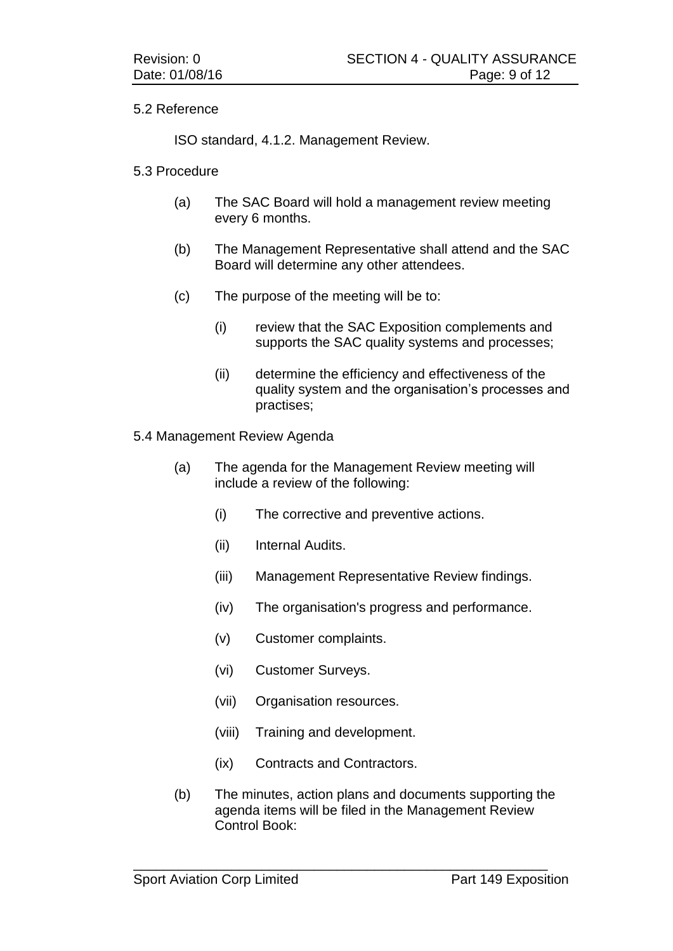### 5.2 Reference

ISO standard, 4.1.2. Management Review.

#### 5.3 Procedure

- (a) The SAC Board will hold a management review meeting every 6 months.
- (b) The Management Representative shall attend and the SAC Board will determine any other attendees.
- (c) The purpose of the meeting will be to:
	- (i) review that the SAC Exposition complements and supports the SAC quality systems and processes;
	- (ii) determine the efficiency and effectiveness of the quality system and the organisation's processes and practises;

#### 5.4 Management Review Agenda

- (a) The agenda for the Management Review meeting will include a review of the following:
	- (i) The corrective and preventive actions.
	- (ii) Internal Audits.
	- (iii) Management Representative Review findings.
	- (iv) The organisation's progress and performance.
	- (v) Customer complaints.
	- (vi) Customer Surveys.
	- (vii) Organisation resources.
	- (viii) Training and development.
	- (ix) Contracts and Contractors.
- (b) The minutes, action plans and documents supporting the agenda items will be filed in the Management Review Control Book: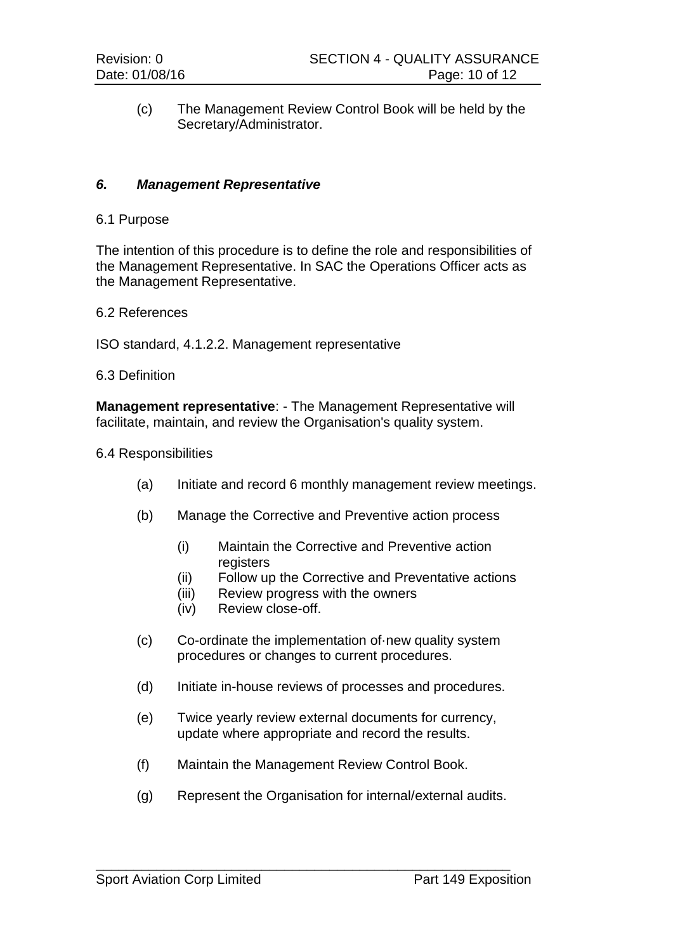(c) The Management Review Control Book will be held by the Secretary/Administrator.

#### *6. Management Representative*

6.1 Purpose

The intention of this procedure is to define the role and responsibilities of the Management Representative. In SAC the Operations Officer acts as the Management Representative.

6.2 References

ISO standard, 4.1.2.2. Management representative

6.3 Definition

**Management representative**: - The Management Representative will facilitate, maintain, and review the Organisation's quality system.

- 6.4 Responsibilities
	- (a) Initiate and record 6 monthly management review meetings.
	- (b) Manage the Corrective and Preventive action process
		- (i) Maintain the Corrective and Preventive action registers
		- (ii) Follow up the Corrective and Preventative actions
		- (iii) Review progress with the owners
		- (iv) Review close-off.
	- (c) Co-ordinate the implementation of·new quality system procedures or changes to current procedures.
	- (d) Initiate in-house reviews of processes and procedures.
	- (e) Twice yearly review external documents for currency, update where appropriate and record the results.
	- (f) Maintain the Management Review Control Book.

\_\_\_\_\_\_\_\_\_\_\_\_\_\_\_\_\_\_\_\_\_\_\_\_\_\_\_\_\_\_\_\_\_\_\_\_\_\_\_\_\_\_\_\_\_\_\_\_\_\_\_\_\_\_\_

(g) Represent the Organisation for internal/external audits.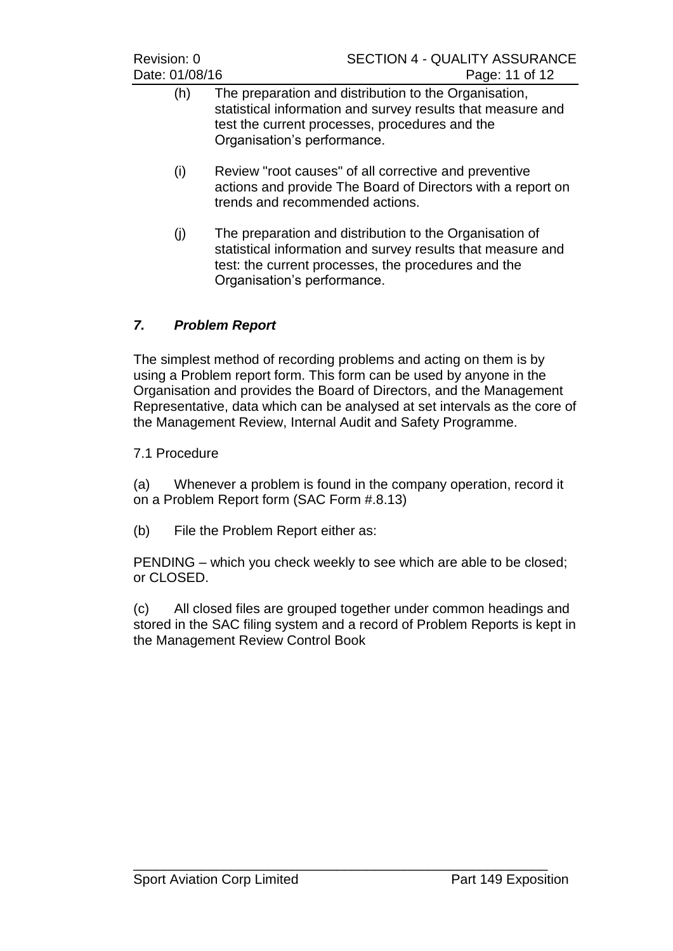- (h) The preparation and distribution to the Organisation, statistical information and survey results that measure and test the current processes, procedures and the Organisation's performance.
- (i) Review "root causes" of all corrective and preventive actions and provide The Board of Directors with a report on trends and recommended actions.
- (j) The preparation and distribution to the Organisation of statistical information and survey results that measure and test: the current processes, the procedures and the Organisation's performance.

# *7. Problem Report*

The simplest method of recording problems and acting on them is by using a Problem report form. This form can be used by anyone in the Organisation and provides the Board of Directors, and the Management Representative, data which can be analysed at set intervals as the core of the Management Review, Internal Audit and Safety Programme.

7.1 Procedure

(a) Whenever a problem is found in the company operation, record it on a Problem Report form (SAC Form #.8.13)

(b) File the Problem Report either as:

PENDING – which you check weekly to see which are able to be closed; or CLOSED.

(c) All closed files are grouped together under common headings and stored in the SAC filing system and a record of Problem Reports is kept in the Management Review Control Book